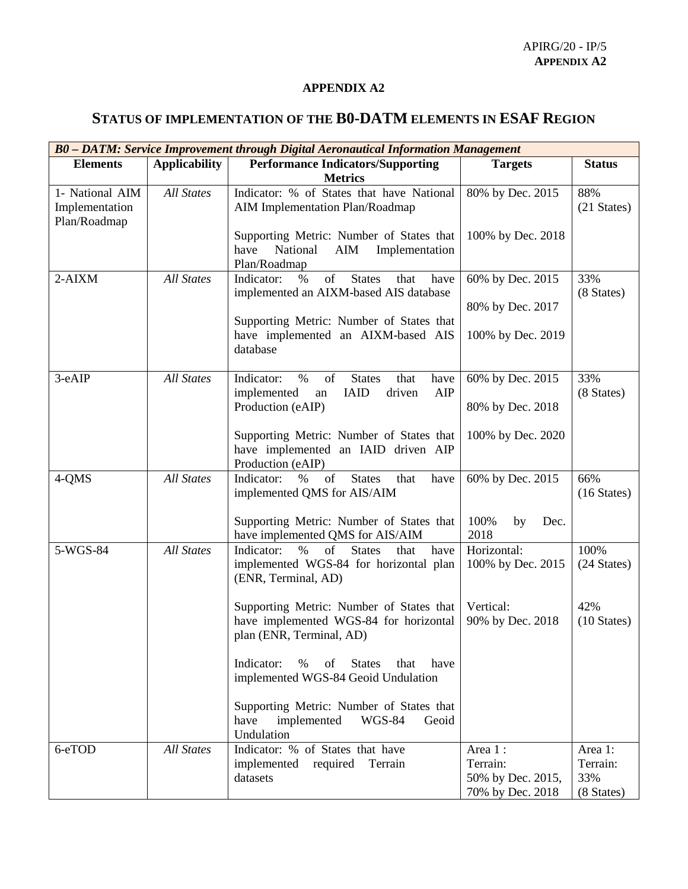## **APPENDIX A2**

## **STATUS OF IMPLEMENTATION OF THE B0-DATM ELEMENTS IN ESAF REGION**

| B0 - DATM: Service Improvement through Digital Aeronautical Information Management |                      |                                                                                                                            |                                       |                              |  |  |  |
|------------------------------------------------------------------------------------|----------------------|----------------------------------------------------------------------------------------------------------------------------|---------------------------------------|------------------------------|--|--|--|
| <b>Elements</b>                                                                    | <b>Applicability</b> | <b>Performance Indicators/Supporting</b><br><b>Metrics</b>                                                                 | <b>Targets</b>                        | <b>Status</b>                |  |  |  |
| 1- National AIM<br>Implementation<br>Plan/Roadmap                                  | <b>All States</b>    | Indicator: % of States that have National<br>AIM Implementation Plan/Roadmap                                               | 80% by Dec. 2015                      | 88%<br>(21 States)           |  |  |  |
|                                                                                    |                      | Supporting Metric: Number of States that<br>National<br>AIM<br>Implementation<br>have<br>Plan/Roadmap                      | 100% by Dec. 2018                     |                              |  |  |  |
| $2-AIXM$                                                                           | <b>All States</b>    | of<br>Indicator:<br><b>States</b><br>$\%$<br>that<br>have<br>implemented an AIXM-based AIS database                        | 60% by Dec. 2015                      | 33%<br>(8 States)            |  |  |  |
|                                                                                    |                      | Supporting Metric: Number of States that<br>have implemented an AIXM-based AIS<br>database                                 | 80% by Dec. 2017<br>100% by Dec. 2019 |                              |  |  |  |
| 3-eAIP                                                                             | <b>All States</b>    | of<br>Indicator:<br>$\%$<br><b>States</b><br>have<br>that<br>implemented<br><b>IAID</b><br>AIP<br>driven<br>an             | 60% by Dec. 2015                      | 33%<br>(8 States)            |  |  |  |
|                                                                                    |                      | Production (eAIP)                                                                                                          | 80% by Dec. 2018                      |                              |  |  |  |
|                                                                                    |                      | Supporting Metric: Number of States that<br>have implemented an IAID driven AIP<br>Production (eAIP)                       | 100% by Dec. 2020                     |                              |  |  |  |
| 4-QMS                                                                              | <b>All States</b>    | Indicator:<br>$\%$<br>of<br><b>States</b><br>have<br>that<br>implemented QMS for AIS/AIM                                   | 60% by Dec. 2015                      | 66%<br>$(16 \text{ States})$ |  |  |  |
|                                                                                    |                      | Supporting Metric: Number of States that<br>have implemented QMS for AIS/AIM                                               | 100%<br>by<br>Dec.<br>2018            |                              |  |  |  |
| 5-WGS-84                                                                           | <b>All States</b>    | of<br><b>States</b><br>have<br>Indicator:<br>that<br>$\%$<br>implemented WGS-84 for horizontal plan<br>(ENR, Terminal, AD) | Horizontal:<br>100% by Dec. 2015      | 100%<br>(24 States)          |  |  |  |
|                                                                                    |                      | Supporting Metric: Number of States that<br>have implemented WGS-84 for horizontal<br>plan (ENR, Terminal, AD)             | Vertical:<br>90% by Dec. 2018         | 42%<br>$(10 \text{ States})$ |  |  |  |
|                                                                                    |                      | <b>States</b><br>Indicator:<br>%<br>of<br>that<br>have<br>implemented WGS-84 Geoid Undulation                              |                                       |                              |  |  |  |
|                                                                                    |                      | Supporting Metric: Number of States that<br>have<br>implemented<br>Geoid<br>WGS-84<br>Undulation                           |                                       |                              |  |  |  |
| 6-eTOD                                                                             | <b>All States</b>    | Indicator: % of States that have<br>implemented required Terrain                                                           | Area 1:<br>Terrain:                   | Area 1:<br>Terrain:          |  |  |  |
|                                                                                    |                      | datasets                                                                                                                   | 50% by Dec. 2015,<br>70% by Dec. 2018 | 33%<br>(8 States)            |  |  |  |